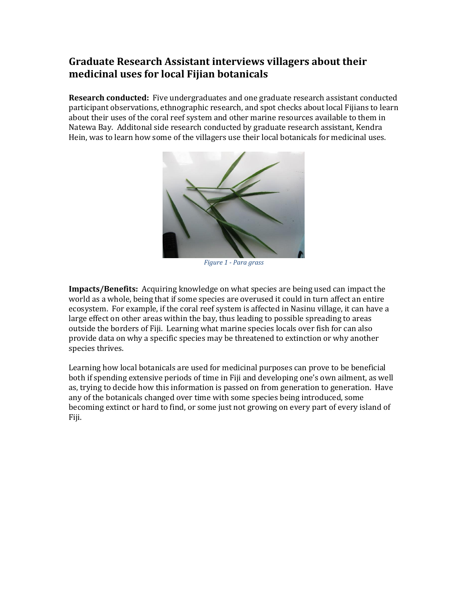## **Graduate Research Assistant interviews villagers about their medicinal uses for local Fijian botanicals**

**Research conducted:** Five undergraduates and one graduate research assistant conducted participant observations, ethnographic research, and spot checks about local Fijians to learn about their uses of the coral reef system and other marine resources available to them in Natewa Bay. Additonal side research conducted by graduate research assistant, Kendra Hein, was to learn how some of the villagers use their local botanicals for medicinal uses.



*Figure 1 - Para grass*

**Impacts/Benefits:** Acquiring knowledge on what species are being used can impact the world as a whole, being that if some species are overused it could in turn affect an entire ecosystem. For example, if the coral reef system is affected in Nasinu village, it can have a large effect on other areas within the bay, thus leading to possible spreading to areas outside the borders of Fiji. Learning what marine species locals over fish for can also provide data on why a specific species may be threatened to extinction or why another species thrives.

Learning how local botanicals are used for medicinal purposes can prove to be beneficial both if spending extensive periods of time in Fiji and developing one's own ailment, as well as, trying to decide how this information is passed on from generation to generation. Have any of the botanicals changed over time with some species being introduced, some becoming extinct or hard to find, or some just not growing on every part of every island of Fiji.